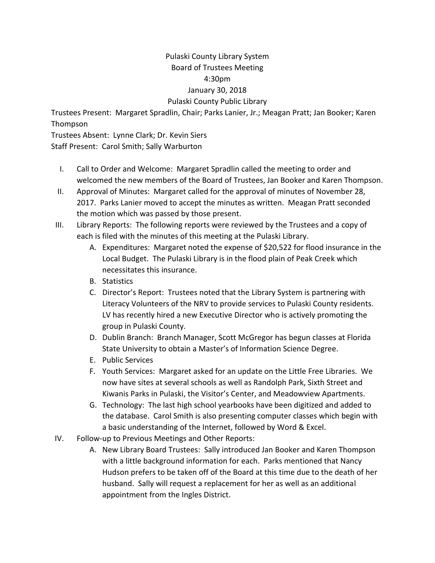## Pulaski County Library System Board of Trustees Meeting 4:30pm January 30, 2018 Pulaski County Public Library

Trustees Present: Margaret Spradlin, Chair; Parks Lanier, Jr.; Meagan Pratt; Jan Booker; Karen Thompson

Trustees Absent: Lynne Clark; Dr. Kevin Siers Staff Present: Carol Smith; Sally Warburton

- I. Call to Order and Welcome: Margaret Spradlin called the meeting to order and welcomed the new members of the Board of Trustees, Jan Booker and Karen Thompson.
- II. Approval of Minutes: Margaret called for the approval of minutes of November 28, 2017. Parks Lanier moved to accept the minutes as written. Meagan Pratt seconded the motion which was passed by those present.
- III. Library Reports: The following reports were reviewed by the Trustees and a copy of each is filed with the minutes of this meeting at the Pulaski Library.
	- A. Expenditures: Margaret noted the expense of \$20,522 for flood insurance in the Local Budget. The Pulaski Library is in the flood plain of Peak Creek which necessitates this insurance.
	- B. Statistics
	- C. Director's Report: Trustees noted that the Library System is partnering with Literacy Volunteers of the NRV to provide services to Pulaski County residents. LV has recently hired a new Executive Director who is actively promoting the group in Pulaski County.
	- D. Dublin Branch: Branch Manager, Scott McGregor has begun classes at Florida State University to obtain a Master's of Information Science Degree.
	- E. Public Services
	- F. Youth Services: Margaret asked for an update on the Little Free Libraries. We now have sites at several schools as well as Randolph Park, Sixth Street and Kiwanis Parks in Pulaski, the Visitor's Center, and Meadowview Apartments.
	- G. Technology: The last high school yearbooks have been digitized and added to the database. Carol Smith is also presenting computer classes which begin with a basic understanding of the Internet, followed by Word & Excel.
- IV. Follow-up to Previous Meetings and Other Reports:
	- A. New Library Board Trustees: Sally introduced Jan Booker and Karen Thompson with a little background information for each. Parks mentioned that Nancy Hudson prefers to be taken off of the Board at this time due to the death of her husband. Sally will request a replacement for her as well as an additional appointment from the Ingles District.